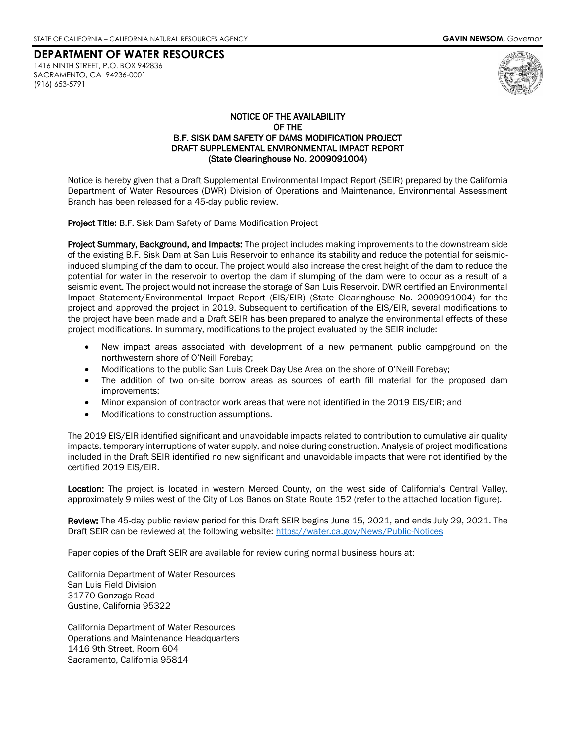# **DEPARTMENT OF WATER RESOURCES** 1416 NINTH STREET, P.O. BOX 942836

SACRAMENTO, CA 94236-0001 (916) 653-5791



## NOTICE OF THE AVAILABILITY OF THE B.F. SISK DAM SAFETY OF DAMS MODIFICATION PROJECT DRAFT SUPPLEMENTAL ENVIRONMENTAL IMPACT REPORT (State Clearinghouse No. 2009091004)

Notice is hereby given that a Draft Supplemental Environmental Impact Report (SEIR) prepared by the California Department of Water Resources (DWR) Division of Operations and Maintenance, Environmental Assessment Branch has been released for a 45-day public review.

Project Title: B.F. Sisk Dam Safety of Dams Modification Project

Project Summary, Background, and Impacts: The project includes making improvements to the downstream side of the existing B.F. Sisk Dam at San Luis Reservoir to enhance its stability and reduce the potential for seismicinduced slumping of the dam to occur. The project would also increase the crest height of the dam to reduce the potential for water in the reservoir to overtop the dam if slumping of the dam were to occur as a result of a seismic event. The project would not increase the storage of San Luis Reservoir. DWR certified an Environmental Impact Statement/Environmental Impact Report (EIS/EIR) (State Clearinghouse No. 2009091004) for the project and approved the project in 2019. Subsequent to certification of the EIS/EIR, several modifications to the project have been made and a Draft SEIR has been prepared to analyze the environmental effects of these project modifications. In summary, modifications to the project evaluated by the SEIR include:

- New impact areas associated with development of a new permanent public campground on the northwestern shore of O'Neill Forebay;
- Modifications to the public San Luis Creek Day Use Area on the shore of O'Neill Forebay;
- The addition of two on-site borrow areas as sources of earth fill material for the proposed dam improvements;
- Minor expansion of contractor work areas that were not identified in the 2019 EIS/EIR; and
- Modifications to construction assumptions.

The 2019 EIS/EIR identified significant and unavoidable impacts related to contribution to cumulative air quality impacts, temporary interruptions of water supply, and noise during construction. Analysis of project modifications included in the Draft SEIR identified no new significant and unavoidable impacts that were not identified by the certified 2019 EIS/EIR.

Location: The project is located in western Merced County, on the west side of California's Central Valley, approximately 9 miles west of the City of Los Banos on State Route 152 (refer to the attached location figure).

Review: The 45-day public review period for this Draft SEIR begins June 15, 2021, and ends July 29, 2021. The Draft SEIR can be reviewed at the following website: [https://water.ca.gov/News/Public-Notices](https://nam10.safelinks.protection.outlook.com/?url=https%3A%2F%2Fwater.ca.gov%2FNews%2FPublic-Notices&data=04%7C01%7Cnsanchezsullivan%40dudek.com%7C5960d52236004d52512f08d92b781d9c%7C82b8a27d5b4c4dbeba360ee75edffcac%7C1%7C0%7C637588618531351539%7CUnknown%7CTWFpbGZsb3d8eyJWIjoiMC4wLjAwMDAiLCJQIjoiV2luMzIiLCJBTiI6Ik1haWwiLCJXVCI6Mn0%3D%7C1000&sdata=kVC%2Fx4FpldryI%2BUWVyp7EmZslQYOgxxCwHocCCnMU3Q%3D&reserved=0)

Paper copies of the Draft SEIR are available for review during normal business hours at:

California Department of Water Resources San Luis Field Division 31770 Gonzaga Road Gustine, California 95322

California Department of Water Resources Operations and Maintenance Headquarters 1416 9th Street, Room 604 Sacramento, California 95814